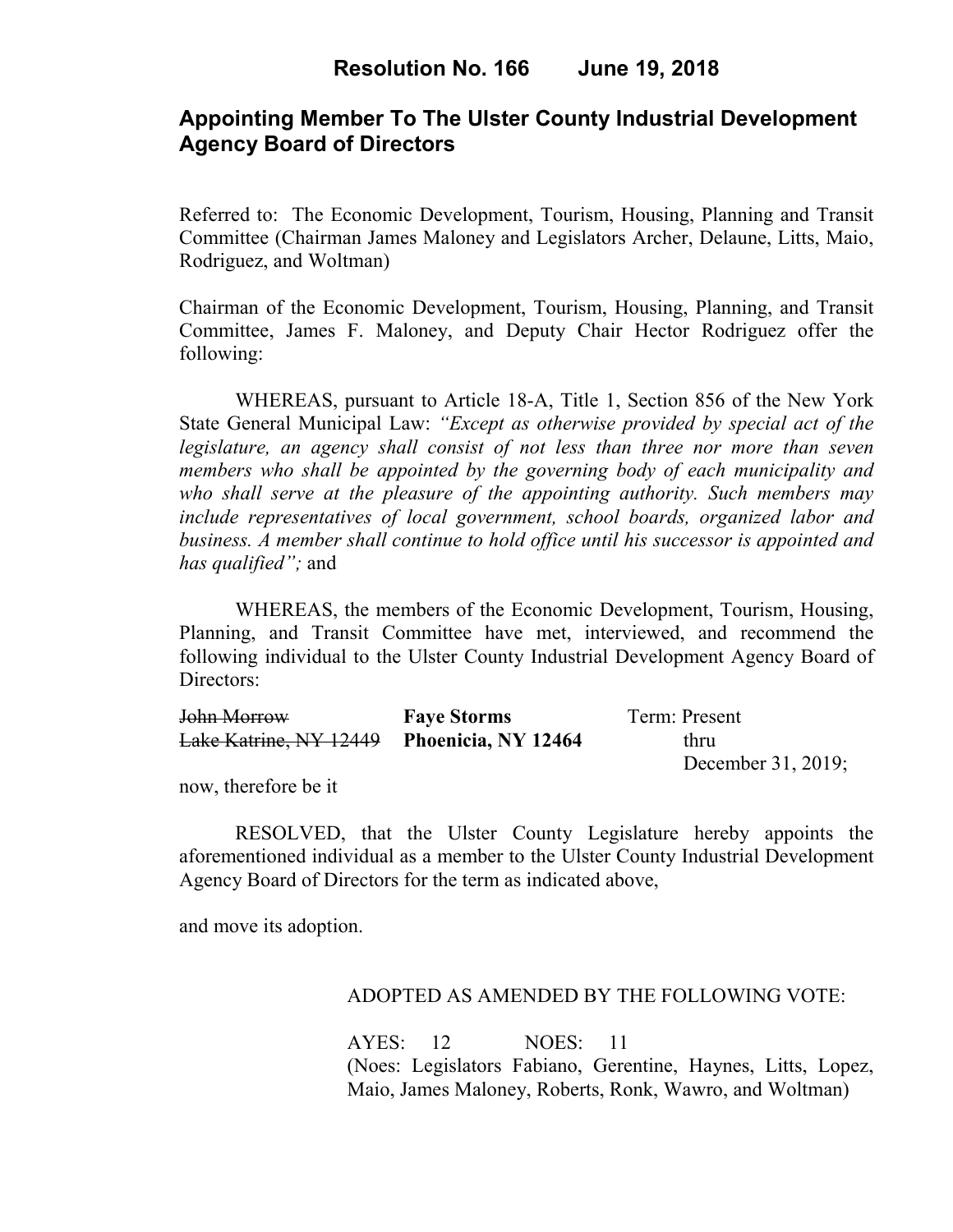# **Appointing Member To The Ulster County Industrial Development Agency Board of Directors**

Referred to: The Economic Development, Tourism, Housing, Planning and Transit Committee (Chairman James Maloney and Legislators Archer, Delaune, Litts, Maio, Rodriguez, and Woltman)

Chairman of the Economic Development, Tourism, Housing, Planning, and Transit Committee, James F. Maloney, and Deputy Chair Hector Rodriguez offer the following:

WHEREAS, pursuant to Article 18-A, Title 1, Section 856 of the New York State General Municipal Law: *"Except as otherwise provided by special act of the legislature, an agency shall consist of not less than three nor more than seven members who shall be appointed by the governing body of each municipality and who shall serve at the pleasure of the appointing authority. Such members may include representatives of local government, school boards, organized labor and business. A member shall continue to hold office until his successor is appointed and has qualified";* and

WHEREAS, the members of the Economic Development, Tourism, Housing, Planning, and Transit Committee have met, interviewed, and recommend the following individual to the Ulster County Industrial Development Agency Board of Directors:

| John Morrow                                | <b>Faye Storms</b> | Term: Present         |
|--------------------------------------------|--------------------|-----------------------|
| Lake Katrine, NY 12449 Phoenicia, NY 12464 |                    | thru                  |
|                                            |                    | December $31, 2019$ ; |

now, therefore be it

RESOLVED, that the Ulster County Legislature hereby appoints the aforementioned individual as a member to the Ulster County Industrial Development Agency Board of Directors for the term as indicated above,

and move its adoption.

### ADOPTED AS AMENDED BY THE FOLLOWING VOTE:

AYES: 12 NOES: 11 (Noes: Legislators Fabiano, Gerentine, Haynes, Litts, Lopez, Maio, James Maloney, Roberts, Ronk, Wawro, and Woltman)